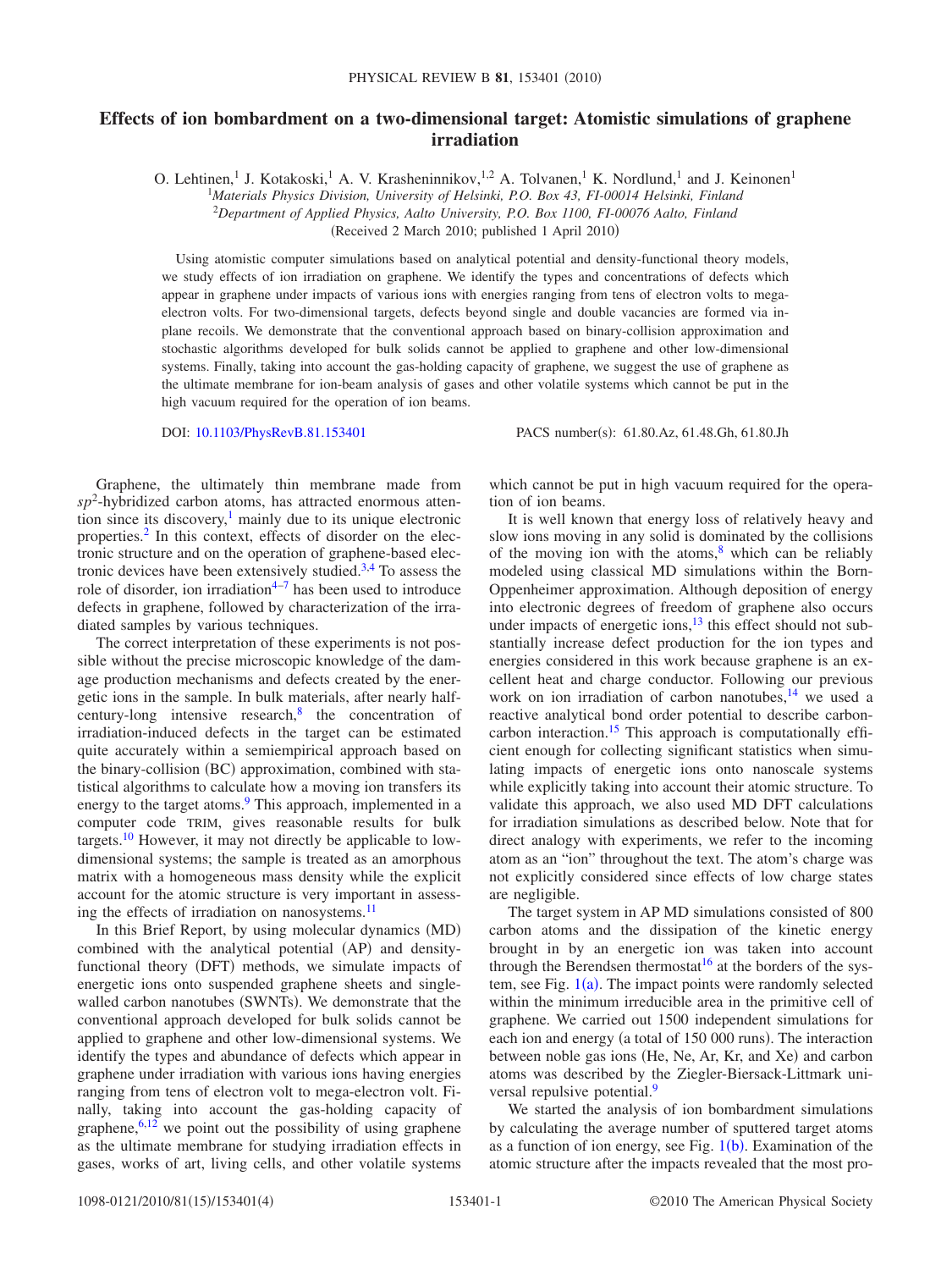## **Effects of ion bombardment on a two-dimensional target: Atomistic simulations of graphene irradiation**

O. Lehtinen,<sup>1</sup> J. Kotakoski,<sup>1</sup> A. V. Krasheninnikov,<sup>1,2</sup> A. Tolvanen,<sup>1</sup> K. Nordlund,<sup>1</sup> and J. Keinonen<sup>1</sup>

<sup>1</sup>*Materials Physics Division, University of Helsinki, P.O. Box 43, FI-00014 Helsinki, Finland*

2 *Department of Applied Physics, Aalto University, P.O. Box 1100, FI-00076 Aalto, Finland*

Received 2 March 2010; published 1 April 2010-

Using atomistic computer simulations based on analytical potential and density-functional theory models, we study effects of ion irradiation on graphene. We identify the types and concentrations of defects which appear in graphene under impacts of various ions with energies ranging from tens of electron volts to megaelectron volts. For two-dimensional targets, defects beyond single and double vacancies are formed via inplane recoils. We demonstrate that the conventional approach based on binary-collision approximation and stochastic algorithms developed for bulk solids cannot be applied to graphene and other low-dimensional systems. Finally, taking into account the gas-holding capacity of graphene, we suggest the use of graphene as the ultimate membrane for ion-beam analysis of gases and other volatile systems which cannot be put in the high vacuum required for the operation of ion beams.

DOI: [10.1103/PhysRevB.81.153401](http://dx.doi.org/10.1103/PhysRevB.81.153401)

PACS number(s): 61.80.Az, 61.48.Gh, 61.80.Jh

Graphene, the ultimately thin membrane made from  $sp<sup>2</sup>$ -hybridized carbon atoms, has attracted enormous attention since its discovery, $\frac{1}{1}$  mainly due to its unique electronic properties[.2](#page-3-1) In this context, effects of disorder on the electronic structure and on the operation of graphene-based electronic devices have been extensively studied. $3,4$  $3,4$  To assess the role of disorder, ion irradiation<sup>4[–7](#page-3-4)</sup> has been used to introduce defects in graphene, followed by characterization of the irradiated samples by various techniques.

The correct interpretation of these experiments is not possible without the precise microscopic knowledge of the damage production mechanisms and defects created by the energetic ions in the sample. In bulk materials, after nearly halfcentury-long intensive research, $8$  the concentration of irradiation-induced defects in the target can be estimated quite accurately within a semiempirical approach based on the binary-collision (BC) approximation, combined with statistical algorithms to calculate how a moving ion transfers its energy to the target atoms.<sup>9</sup> This approach, implemented in a computer code TRIM, gives reasonable results for bulk targets[.10](#page-3-7) However, it may not directly be applicable to lowdimensional systems; the sample is treated as an amorphous matrix with a homogeneous mass density while the explicit account for the atomic structure is very important in assessing the effects of irradiation on nanosystems.<sup>11</sup>

In this Brief Report, by using molecular dynamics (MD) combined with the analytical potential (AP) and densityfunctional theory (DFT) methods, we simulate impacts of energetic ions onto suspended graphene sheets and singlewalled carbon nanotubes (SWNTs). We demonstrate that the conventional approach developed for bulk solids cannot be applied to graphene and other low-dimensional systems. We identify the types and abundance of defects which appear in graphene under irradiation with various ions having energies ranging from tens of electron volt to mega-electron volt. Finally, taking into account the gas-holding capacity of graphene,  $6,12$  $6,12$  we point out the possibility of using graphene as the ultimate membrane for studying irradiation effects in gases, works of art, living cells, and other volatile systems

which cannot be put in high vacuum required for the operation of ion beams.

It is well known that energy loss of relatively heavy and slow ions moving in any solid is dominated by the collisions of the moving ion with the atoms, $\frac{8}{3}$  which can be reliably modeled using classical MD simulations within the Born-Oppenheimer approximation. Although deposition of energy into electronic degrees of freedom of graphene also occurs under impacts of energetic ions, $^{13}$  this effect should not substantially increase defect production for the ion types and energies considered in this work because graphene is an excellent heat and charge conductor. Following our previous work on ion irradiation of carbon nanotubes, $14$  we used a reactive analytical bond order potential to describe carboncarbon interaction.<sup>15</sup> This approach is computationally efficient enough for collecting significant statistics when simulating impacts of energetic ions onto nanoscale systems while explicitly taking into account their atomic structure. To validate this approach, we also used MD DFT calculations for irradiation simulations as described below. Note that for direct analogy with experiments, we refer to the incoming atom as an "ion" throughout the text. The atom's charge was not explicitly considered since effects of low charge states are negligible.

The target system in AP MD simulations consisted of 800 carbon atoms and the dissipation of the kinetic energy brought in by an energetic ion was taken into account through the Berendsen thermostat<sup>16</sup> at the borders of the system, see Fig.  $1(a)$  $1(a)$ . The impact points were randomly selected within the minimum irreducible area in the primitive cell of graphene. We carried out 1500 independent simulations for each ion and energy (a total of 150 000 runs). The interaction between noble gas ions (He, Ne, Ar, Kr, and Xe) and carbon atoms was described by the Ziegler-Biersack-Littmark universal repulsive potential.<sup>9</sup>

We started the analysis of ion bombardment simulations by calculating the average number of sputtered target atoms as a function of ion energy, see Fig.  $1(b)$  $1(b)$ . Examination of the atomic structure after the impacts revealed that the most pro-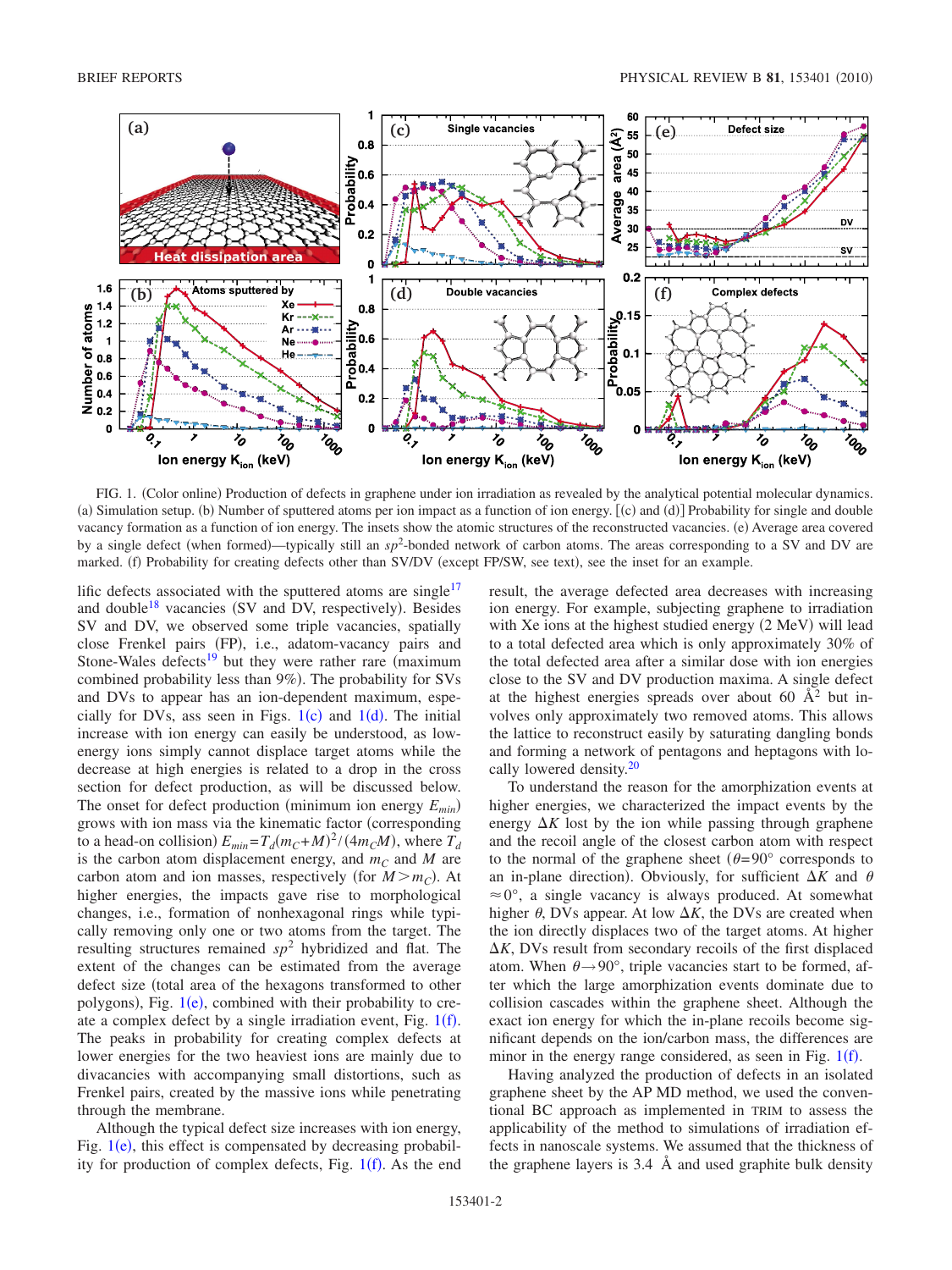<span id="page-1-0"></span>

FIG. 1. (Color online) Production of defects in graphene under ion irradiation as revealed by the analytical potential molecular dynamics. (a) Simulation setup. (b) Number of sputtered atoms per ion impact as a function of ion energy. [(c) and (d)] Probability for single and double vacancy formation as a function of ion energy. The insets show the atomic structures of the reconstructed vacancies. (e) Average area covered by a single defect (when formed)—typically still an  $sp^2$ -bonded network of carbon atoms. The areas corresponding to a SV and DV are marked. (f) Probability for creating defects other than SV/DV (except FP/SW, see text), see the inset for an example.

lific defects associated with the sputtered atoms are single<sup>17</sup> and double<sup>18</sup> vacancies (SV and DV, respectively). Besides SV and DV, we observed some triple vacancies, spatially close Frenkel pairs (FP), i.e., adatom-vacancy pairs and Stone-Wales defects<sup>19</sup> but they were rather rare (maximum combined probability less than 9%). The probability for SVs and DVs to appear has an ion-dependent maximum, especially for DVs, ass seen in Figs.  $1(c)$  $1(c)$  and  $1(d)$ . The initial increase with ion energy can easily be understood, as lowenergy ions simply cannot displace target atoms while the decrease at high energies is related to a drop in the cross section for defect production, as will be discussed below. The onset for defect production (minimum ion energy  $E_{min}$ ) grows with ion mass via the kinematic factor (corresponding to a head-on collision)  $E_{min} = T_d (m_C + M)^2 / (4m_C M)$ , where  $T_d$ is the carbon atom displacement energy, and  $m<sub>C</sub>$  and *M* are carbon atom and ion masses, respectively (for  $M > m_C$ ). At higher energies, the impacts gave rise to morphological changes, i.e., formation of nonhexagonal rings while typically removing only one or two atoms from the target. The resulting structures remained *sp*<sup>2</sup> hybridized and flat. The extent of the changes can be estimated from the average defect size (total area of the hexagons transformed to other polygons), Fig. [1](#page-1-0)(e), combined with their probability to create a complex defect by a single irradiation event, Fig.  $1(f)$  $1(f)$ . The peaks in probability for creating complex defects at lower energies for the two heaviest ions are mainly due to divacancies with accompanying small distortions, such as Frenkel pairs, created by the massive ions while penetrating through the membrane.

Although the typical defect size increases with ion energy, Fig.  $1(e)$  $1(e)$ , this effect is compensated by decreasing probability for production of complex defects, Fig.  $1(f)$  $1(f)$ . As the end

result, the average defected area decreases with increasing ion energy. For example, subjecting graphene to irradiation with Xe ions at the highest studied energy (2 MeV) will lead to a total defected area which is only approximately 30% of the total defected area after a similar dose with ion energies close to the SV and DV production maxima. A single defect at the highest energies spreads over about 60  $\AA^2$  but involves only approximately two removed atoms. This allows the lattice to reconstruct easily by saturating dangling bonds and forming a network of pentagons and heptagons with locally lowered density.<sup>20</sup>

To understand the reason for the amorphization events at higher energies, we characterized the impact events by the energy  $\Delta K$  lost by the ion while passing through graphene and the recoil angle of the closest carbon atom with respect to the normal of the graphene sheet  $(\theta=90^{\circ}$  corresponds to an in-plane direction). Obviously, for sufficient  $\Delta K$  and  $\theta$  $\approx 0^{\circ}$ , a single vacancy is always produced. At somewhat higher  $\theta$ , DVs appear. At low  $\Delta K$ , the DVs are created when the ion directly displaces two of the target atoms. At higher  $\Delta K$ , DVs result from secondary recoils of the first displaced atom. When  $\theta \rightarrow 90^{\circ}$ , triple vacancies start to be formed, after which the large amorphization events dominate due to collision cascades within the graphene sheet. Although the exact ion energy for which the in-plane recoils become significant depends on the ion/carbon mass, the differences are minor in the energy range considered, as seen in Fig.  $1(f)$  $1(f)$ .

Having analyzed the production of defects in an isolated graphene sheet by the AP MD method, we used the conventional BC approach as implemented in TRIM to assess the applicability of the method to simulations of irradiation effects in nanoscale systems. We assumed that the thickness of the graphene layers is 3.4 Å and used graphite bulk density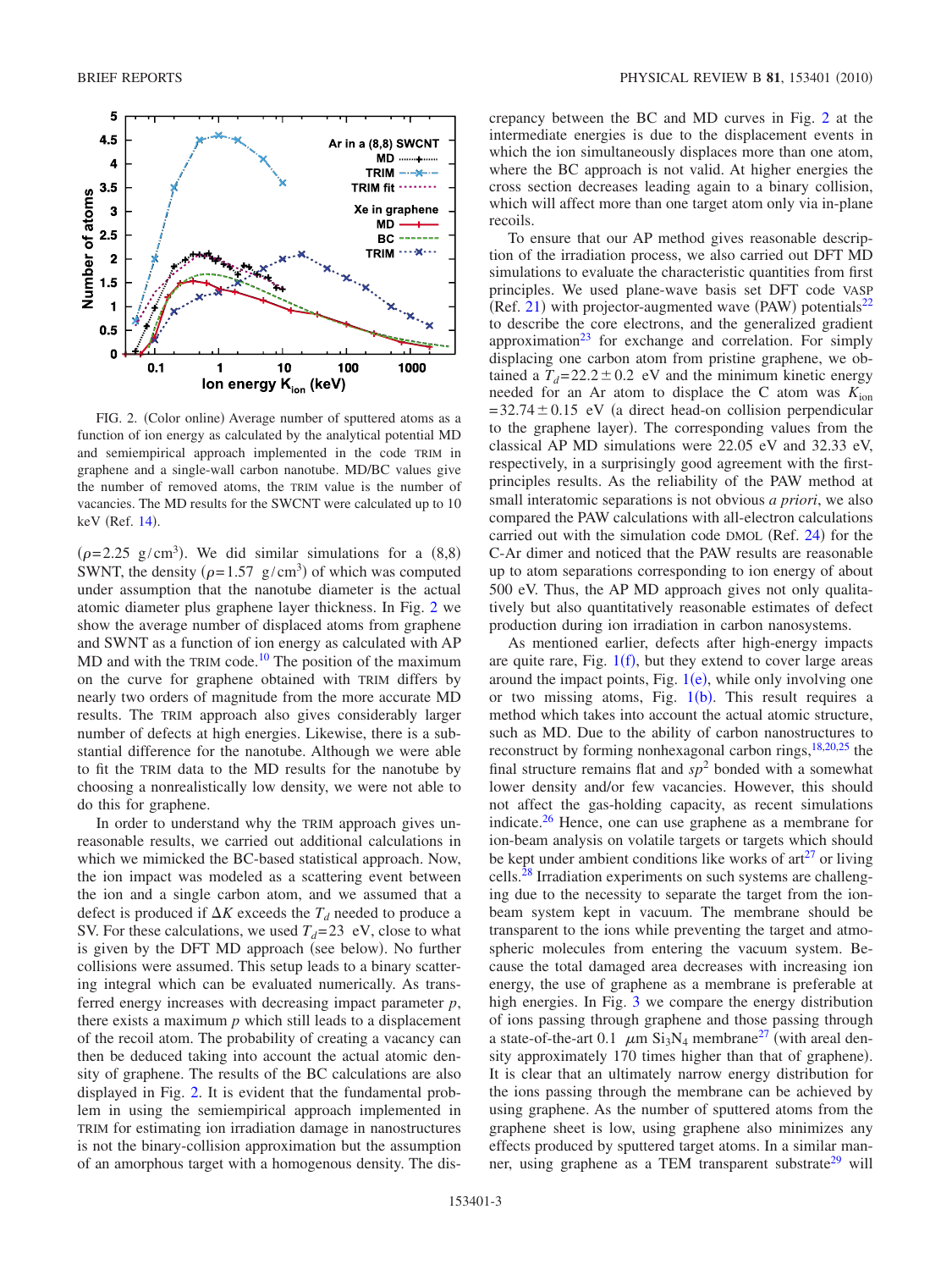<span id="page-2-0"></span>

FIG. 2. (Color online) Average number of sputtered atoms as a function of ion energy as calculated by the analytical potential MD and semiempirical approach implemented in the code TRIM in graphene and a single-wall carbon nanotube. MD/BC values give the number of removed atoms, the TRIM value is the number of vacancies. The MD results for the SWCNT were calculated up to 10 keV (Ref. [14](#page-3-12)).

 $(\rho=2.25 \text{ g/cm}^3)$ . We did similar simulations for a (8,8) SWNT, the density ( $\rho = 1.57$  g/cm<sup>3</sup>) of which was computed under assumption that the nanotube diameter is the actual atomic diameter plus graphene layer thickness. In Fig. [2](#page-2-0) we show the average number of displaced atoms from graphene and SWNT as a function of ion energy as calculated with AP  $MD$  and with the TRIM code.<sup>10</sup> The position of the maximum on the curve for graphene obtained with TRIM differs by nearly two orders of magnitude from the more accurate MD results. The TRIM approach also gives considerably larger number of defects at high energies. Likewise, there is a substantial difference for the nanotube. Although we were able to fit the TRIM data to the MD results for the nanotube by choosing a nonrealistically low density, we were not able to do this for graphene.

In order to understand why the TRIM approach gives unreasonable results, we carried out additional calculations in which we mimicked the BC-based statistical approach. Now, the ion impact was modeled as a scattering event between the ion and a single carbon atom, and we assumed that a defect is produced if  $\Delta K$  exceeds the  $T_d$  needed to produce a SV. For these calculations, we used  $T_d = 23$  eV, close to what is given by the DFT MD approach (see below). No further collisions were assumed. This setup leads to a binary scattering integral which can be evaluated numerically. As transferred energy increases with decreasing impact parameter *p*, there exists a maximum *p* which still leads to a displacement of the recoil atom. The probability of creating a vacancy can then be deduced taking into account the actual atomic density of graphene. The results of the BC calculations are also displayed in Fig. [2.](#page-2-0) It is evident that the fundamental problem in using the semiempirical approach implemented in TRIM for estimating ion irradiation damage in nanostructures is not the binary-collision approximation but the assumption of an amorphous target with a homogenous density. The discrepancy between the BC and MD curves in Fig. [2](#page-2-0) at the intermediate energies is due to the displacement events in which the ion simultaneously displaces more than one atom, where the BC approach is not valid. At higher energies the cross section decreases leading again to a binary collision, which will affect more than one target atom only via in-plane recoils.

To ensure that our AP method gives reasonable description of the irradiation process, we also carried out DFT MD simulations to evaluate the characteristic quantities from first principles. We used plane-wave basis set DFT code VASP (Ref. [21](#page-3-19)) with projector-augmented wave (PAW) potentials<sup>22</sup> to describe the core electrons, and the generalized gradient approximation $23$  for exchange and correlation. For simply displacing one carbon atom from pristine graphene, we obtained a  $T_d = 22.2 \pm 0.2$  eV and the minimum kinetic energy needed for an Ar atom to displace the C atom was  $K_{\text{ion}}$  $=32.74\pm0.15$  eV (a direct head-on collision perpendicular to the graphene layer). The corresponding values from the classical AP MD simulations were 22.05 eV and 32.33 eV, respectively, in a surprisingly good agreement with the firstprinciples results. As the reliability of the PAW method at small interatomic separations is not obvious *a priori*, we also compared the PAW calculations with all-electron calculations carried out with the simulation code  $DMOL$  (Ref. [24](#page-3-22)) for the C-Ar dimer and noticed that the PAW results are reasonable up to atom separations corresponding to ion energy of about 500 eV. Thus, the AP MD approach gives not only qualitatively but also quantitatively reasonable estimates of defect production during ion irradiation in carbon nanosystems.

As mentioned earlier, defects after high-energy impacts are quite rare, Fig.  $1(f)$  $1(f)$ , but they extend to cover large areas around the impact points, Fig.  $1(e)$  $1(e)$ , while only involving one or two missing atoms, Fig.  $1(b)$  $1(b)$ . This result requires a method which takes into account the actual atomic structure, such as MD. Due to the ability of carbon nanostructures to reconstruct by forming nonhexagonal carbon rings, $18,20,25$  $18,20,25$  $18,20,25$  the final structure remains flat and  $sp<sup>2</sup>$  bonded with a somewhat lower density and/or few vacancies. However, this should not affect the gas-holding capacity, as recent simulations indicate[.26](#page-3-24) Hence, one can use graphene as a membrane for ion-beam analysis on volatile targets or targets which should be kept under ambient conditions like works of  $art<sup>27</sup>$  or living cells[.28](#page-3-26) Irradiation experiments on such systems are challenging due to the necessity to separate the target from the ionbeam system kept in vacuum. The membrane should be transparent to the ions while preventing the target and atmospheric molecules from entering the vacuum system. Because the total damaged area decreases with increasing ion energy, the use of graphene as a membrane is preferable at high energies. In Fig. [3](#page-3-27) we compare the energy distribution of ions passing through graphene and those passing through a state-of-the-art 0.1  $\mu$ m Si<sub>3</sub>N<sub>4</sub> membrane<sup>27</sup> (with areal density approximately 170 times higher than that of graphene). It is clear that an ultimately narrow energy distribution for the ions passing through the membrane can be achieved by using graphene. As the number of sputtered atoms from the graphene sheet is low, using graphene also minimizes any effects produced by sputtered target atoms. In a similar manner, using graphene as a TEM transparent substrate<sup>29</sup> will